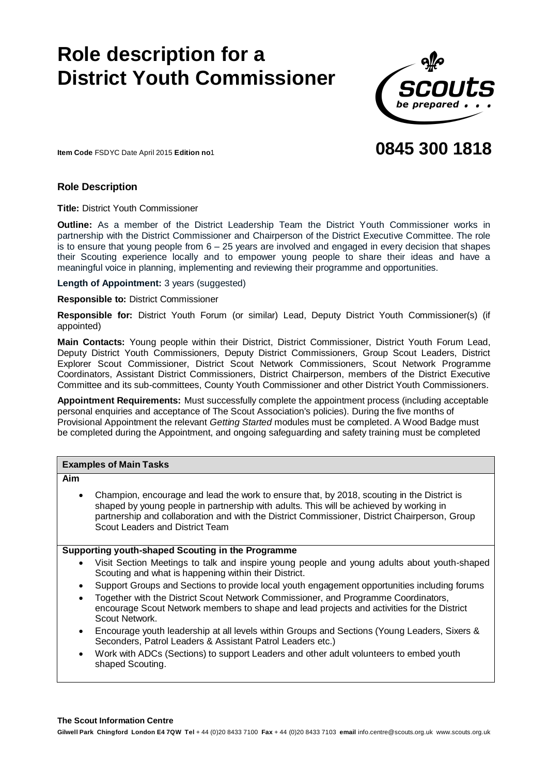# **Role description for a District Youth Commissioner**



# **0845 300 1818**

**Item Code** FSDYC Date April 2015 **Edition no**1

#### **Role Description**

**Title:** District Youth Commissioner

**Outline:** As a member of the District Leadership Team the District Youth Commissioner works in partnership with the District Commissioner and Chairperson of the District Executive Committee. The role is to ensure that young people from 6 – 25 years are involved and engaged in every decision that shapes their Scouting experience locally and to empower young people to share their ideas and have a meaningful voice in planning, implementing and reviewing their programme and opportunities.

**Length of Appointment:** 3 years (suggested)

**Responsible to:** District Commissioner

**Responsible for:** District Youth Forum (or similar) Lead, Deputy District Youth Commissioner(s) (if appointed)

**Main Contacts:** Young people within their District, District Commissioner, District Youth Forum Lead, Deputy District Youth Commissioners, Deputy District Commissioners, Group Scout Leaders, District Explorer Scout Commissioner, District Scout Network Commissioners, Scout Network Programme Coordinators, Assistant District Commissioners, District Chairperson, members of the District Executive Committee and its sub-committees, County Youth Commissioner and other District Youth Commissioners.

**Appointment Requirements:** Must successfully complete the appointment process (including acceptable personal enquiries and acceptance of The Scout Association's policies). During the five months of Provisional Appointment the relevant *Getting Started* modules must be completed. A Wood Badge must be completed during the Appointment, and ongoing safeguarding and safety training must be completed

| <b>Examples of Main Tasks</b>                     |                                                                                                                                                                                                                                                                                                                          |  |
|---------------------------------------------------|--------------------------------------------------------------------------------------------------------------------------------------------------------------------------------------------------------------------------------------------------------------------------------------------------------------------------|--|
| Aim                                               |                                                                                                                                                                                                                                                                                                                          |  |
| $\bullet$                                         | Champion, encourage and lead the work to ensure that, by 2018, scouting in the District is<br>shaped by young people in partnership with adults. This will be achieved by working in<br>partnership and collaboration and with the District Commissioner, District Chairperson, Group<br>Scout Leaders and District Team |  |
| Supporting youth-shaped Scouting in the Programme |                                                                                                                                                                                                                                                                                                                          |  |
| $\bullet$                                         | Visit Section Meetings to talk and inspire young people and young adults about youth-shaped<br>Scouting and what is happening within their District.                                                                                                                                                                     |  |
| $\bullet$                                         | Support Groups and Sections to provide local youth engagement opportunities including forums                                                                                                                                                                                                                             |  |
|                                                   | Together with the District Scout Network Commissioner, and Programme Coordinators,<br>encourage Scout Network members to shape and lead projects and activities for the District<br>Scout Network.                                                                                                                       |  |
| $\bullet$                                         | Encourage youth leadership at all levels within Groups and Sections (Young Leaders, Sixers &<br>Seconders, Patrol Leaders & Assistant Patrol Leaders etc.)                                                                                                                                                               |  |
|                                                   |                                                                                                                                                                                                                                                                                                                          |  |

 Work with ADCs (Sections) to support Leaders and other adult volunteers to embed youth shaped Scouting.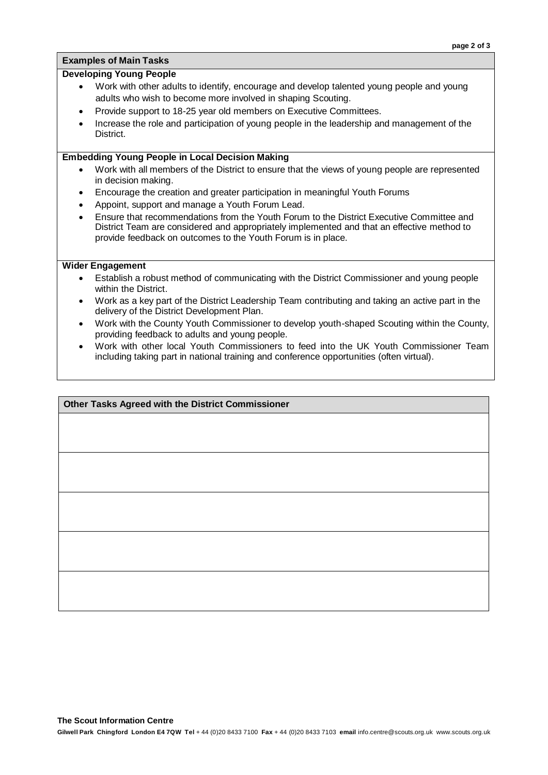#### **Examples of Main Tasks**

#### **Developing Young People**

- Work with other adults to identify, encourage and develop talented young people and young adults who wish to become more involved in shaping Scouting.
- Provide support to 18-25 year old members on Executive Committees.
- Increase the role and participation of young people in the leadership and management of the District.

#### **Embedding Young People in Local Decision Making**

- Work with all members of the District to ensure that the views of young people are represented in decision making.
- Encourage the creation and greater participation in meaningful Youth Forums
- Appoint, support and manage a Youth Forum Lead.
- Ensure that recommendations from the Youth Forum to the District Executive Committee and District Team are considered and appropriately implemented and that an effective method to provide feedback on outcomes to the Youth Forum is in place.

#### **Wider Engagement**

- Establish a robust method of communicating with the District Commissioner and young people within the District.
- Work as a key part of the District Leadership Team contributing and taking an active part in the delivery of the District Development Plan.
- Work with the County Youth Commissioner to develop youth-shaped Scouting within the County, providing feedback to adults and young people.
- Work with other local Youth Commissioners to feed into the UK Youth Commissioner Team including taking part in national training and conference opportunities (often virtual).

#### **Other Tasks Agreed with the District Commissioner**